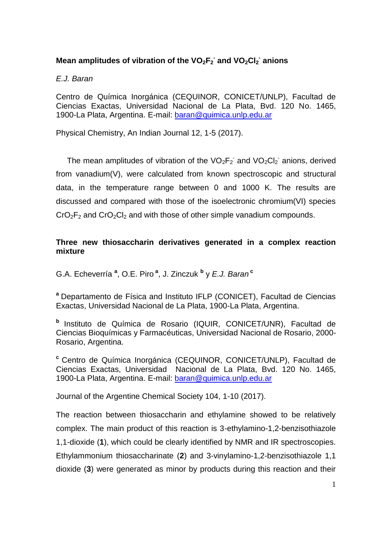# **Mean amplitudes of vibration of the VO2F<sup>2</sup> - and VO2Cl<sup>2</sup> - anions**

## *E.J. Baran*

Centro de Química Inorgánica (CEQUINOR, CONICET/UNLP), Facultad de Ciencias Exactas, Universidad Nacional de La Plata, Bvd. 120 No. 1465, 1900-La Plata, Argentina. E-mail: [baran@quimica.unlp.edu.ar](mailto:baran@quimica.unlp.edu.ar) 

Physical Chemistry, An Indian Journal 12, 1-5 (2017).

The mean amplitudes of vibration of the  $VO_2F_2$  and  $VO_2Cl_2$  anions, derived from vanadium(V), were calculated from known spectroscopic and structural data, in the temperature range between 0 and 1000 K. The results are discussed and compared with those of the isoelectronic chromium(VI) species  $CrO<sub>2</sub>F<sub>2</sub>$  and  $CrO<sub>2</sub>Cl<sub>2</sub>$  and with those of other simple vanadium compounds.

### **Three new thiosaccharin derivatives generated in a complex reaction mixture**

G.A. Echeverría **<sup>a</sup>** , O.E. Piro **<sup>a</sup>** , J. Zinczuk **<sup>b</sup>** y *E.J. Baran* **<sup>c</sup>**

**<sup>a</sup>** Departamento de Física and Instituto IFLP (CONICET), Facultad de Ciencias Exactas, Universidad Nacional de La Plata, 1900-La Plata, Argentina.

**b** Instituto de Química de Rosario (IQUIR, CONICET/UNR), Facultad de Ciencias Bioquímicas y Farmacéuticas, Universidad Nacional de Rosario, 2000- Rosario, Argentina.

**<sup>c</sup>** Centro de Química Inorgánica (CEQUINOR, CONICET/UNLP), Facultad de Ciencias Exactas, Universidad Nacional de La Plata, Bvd. 120 No. 1465, 1900-La Plata, Argentina. E-mail: [baran@quimica.unlp.edu.ar](mailto:baran@quimica.unlp.edu.ar) 

Journal of the Argentine Chemical Society 104, 1-10 (2017).

The reaction between thiosaccharin and ethylamine showed to be relatively complex. The main product of this reaction is 3-ethylamino-1,2-benzisothiazole 1,1-dioxide (**1**), which could be clearly identified by NMR and IR spectroscopies. Ethylammonium thiosaccharinate (**2**) and 3-vinylamino-1,2-benzisothiazole 1,1 dioxide (**3**) were generated as minor by products during this reaction and their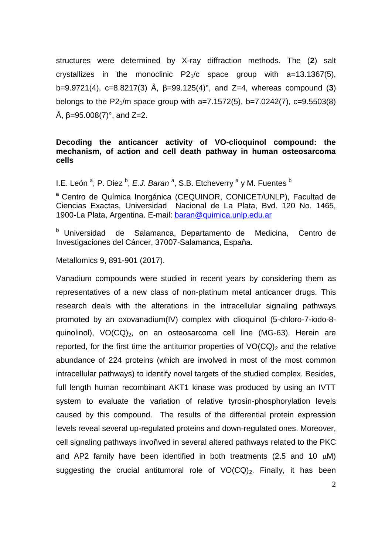structures were determined by X-ray diffraction methods. The (**2**) salt crystallizes in the monoclinic  $P2<sub>1</sub>/c$  space group with a=13.1367(5), b=9.9721(4), c=8.8217(3) Å, β=99.125(4)°, and Z=4, whereas compound (**3**) belongs to the P2<sub>1</sub>/m space group with a=7.1572(5), b=7.0242(7), c=9.5503(8) Å,  $β = 95.008(7)°$ , and  $Z = 2$ .

#### **Decoding the anticancer activity of VO-clioquinol compound: the mechanism, of action and cell death pathway in human osteosarcoma cells**

I.E. León <sup>a</sup>, P. Diez <sup>b</sup>, *E.J. Baran* <sup>a</sup>, S.B. Etcheverry <sup>a</sup> y M. Fuentes <sup>b</sup>

**<sup>a</sup>** Centro de Química Inorgánica (CEQUINOR, CONICET/UNLP), Facultad de Ciencias Exactas, Universidad Nacional de La Plata, Bvd. 120 No. 1465, 1900-La Plata, Argentina. E-mail: [baran@quimica.unlp.edu.ar](mailto:baran@quimica.unlp.edu.ar) 

<sup>b</sup> Universidad de Salamanca, Departamento de Medicina, Centro de Investigaciones del Cáncer, 37007-Salamanca, España.

Metallomics 9, 891-901 (2017).

Vanadium compounds were studied in recent years by considering them as representatives of a new class of non-platinum metal anticancer drugs. This research deals with the alterations in the intracellular signaling pathways promoted by an oxovanadium(IV) complex with clioquinol (5-chloro-7-iodo-8 quinolinol),  $VO(CQ)_2$ , on an osteosarcoma cell line (MG-63). Herein are reported, for the first time the antitumor properties of  $VO(CQ)_2$  and the relative abundance of 224 proteins (which are involved in most of the most common intracellular pathways) to identify novel targets of the studied complex. Besides, full length human recombinant AKT1 kinase was produced by using an IVTT system to evaluate the variation of relative tyrosin-phosphorylation levels caused by this compound. The results of the differential protein expression levels reveal several up-regulated proteins and down-regulated ones. Moreover, cell signaling pathways invoñved in several altered pathways related to the PKC and AP2 family have been identified in both treatments (2.5 and 10  $\mu$ M) suggesting the crucial antitumoral role of  $VO(CQ)_2$ . Finally, it has been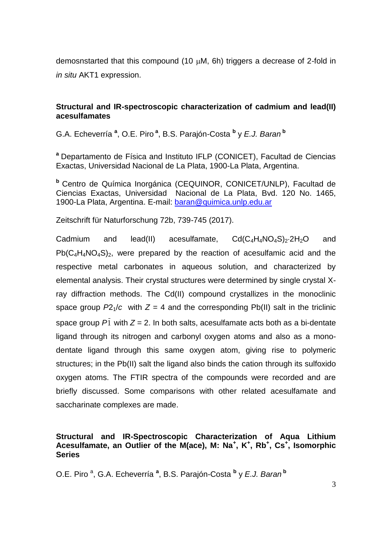demosnstarted that this compound (10  $\mu$ M, 6h) triggers a decrease of 2-fold in *in situ* AKT1 expression.

#### **Structural and IR-spectroscopic characterization of cadmium and lead(II) acesulfamates**

G.A. Echeverría **<sup>a</sup>** , O.E. Piro **<sup>a</sup>** , B.S. Parajón-Costa **<sup>b</sup>** y *E.J. Baran* **<sup>b</sup>**

**<sup>a</sup>** Departamento de Física and Instituto IFLP (CONICET), Facultad de Ciencias Exactas, Universidad Nacional de La Plata, 1900-La Plata, Argentina.

**<sup>b</sup>** Centro de Química Inorgánica (CEQUINOR, CONICET/UNLP), Facultad de Ciencias Exactas, Universidad Nacional de La Plata, Bvd. 120 No. 1465, 1900-La Plata, Argentina. E-mail: [baran@quimica.unlp.edu.ar](mailto:baran@quimica.unlp.edu.ar) 

Zeitschrift für Naturforschung 72b, 739-745 (2017).

Cadmium and lead(II) acesulfamate,  $Cd(C_4H_4NO_4S)_{2}·2H_{2}O$  and  $Pb(C_4H_4NO_4S)_2$ , were prepared by the reaction of acesulfamic acid and the respective metal carbonates in aqueous solution, and characterized by elemental analysis. Their crystal structures were determined by single crystal Xray diffraction methods. The Cd(II) compound crystallizes in the monoclinic space group  $P2_1/c$  with  $Z = 4$  and the corresponding Pb(II) salt in the triclinic space group  $P_1$  with  $Z = 2$ . In both salts, acesulfamate acts both as a bi-dentate ligand through its nitrogen and carbonyl oxygen atoms and also as a monodentate ligand through this same oxygen atom, giving rise to polymeric structures; in the Pb(II) salt the ligand also binds the cation through its sulfoxido oxygen atoms. The FTIR spectra of the compounds were recorded and are briefly discussed. Some comparisons with other related acesulfamate and saccharinate complexes are made.

### **Structural and IR-Spectroscopic Characterization of Aqua Lithium**  Acesulfamate, an Outlier of the M(ace), M: Na<sup>+</sup>, K<sup>+</sup>, Rb<sup>+</sup>, Cs<sup>+</sup>, Isomorphic **Series**

O.E. Piro<sup>a</sup>, G.A. Echeverría<sup>a</sup>, B.S. Parajón-Costa<sup>b</sup> y *E.J. Baran*<sup>b</sup>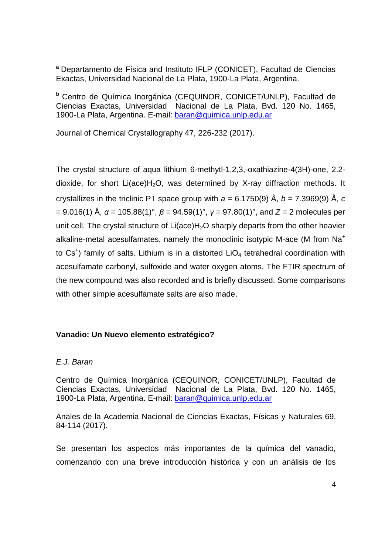**<sup>a</sup>** Departamento de Física and Instituto IFLP (CONICET), Facultad de Ciencias Exactas, Universidad Nacional de La Plata, 1900-La Plata, Argentina.

**<sup>b</sup>** Centro de Química Inorgánica (CEQUINOR, CONICET/UNLP), Facultad de Ciencias Exactas, Universidad Nacional de La Plata, Bvd. 120 No. 1465, 1900-La Plata, Argentina. E-mail: [baran@quimica.unlp.edu.ar](mailto:baran@quimica.unlp.edu.ar) 

Journal of Chemical Crystallography 47, 226-232 (2017).

The crystal structure of aqua lithium 6-methytl-1,2,3,-oxathiazine-4(3H)-one, 2.2 dioxide, for short Li(ace) $H_2O$ , was determined by X-ray diffraction methods. It crystallizes in the triclinic P 1 space group with *a* = 6.1750(9) Å, *b* = 7.3969(9) Å, *c*  = 9.016(1) Å, *α* = 105.88(1)°, *β* = 94.59(1)°, *γ* = 97.80(1)°, and *Z* = 2 molecules per unit cell. The crystal structure of  $Li(ace)H<sub>2</sub>O$  sharply departs from the other heavier alkaline-metal acesulfamates, namely the monoclinic isotypic M-ace (M from Na<sup>+</sup> to  $Cs<sup>+</sup>$ ) family of salts. Lithium is in a distorted LiO<sub>4</sub> tetrahedral coordination with acesulfamate carbonyl, sulfoxide and water oxygen atoms. The FTIR spectrum of the new compound was also recorded and is briefly discussed. Some comparisons with other simple acesulfamate salts are also made.

#### **Vanadio: Un Nuevo elemento estratégico?**

### *E.J. Baran*

Centro de Química Inorgánica (CEQUINOR, CONICET/UNLP), Facultad de Ciencias Exactas, Universidad Nacional de La Plata, Bvd. 120 No. 1465, 1900-La Plata, Argentina. E-mail: baran@quimica.unlp.edu.ar

Anales de la Academia Nacional de Ciencias Exactas, Físicas y Naturales 69, 84-114 (2017).

Se presentan los aspectos más importantes de la química del vanadio, comenzando con una breve introducción histórica y con un análisis de los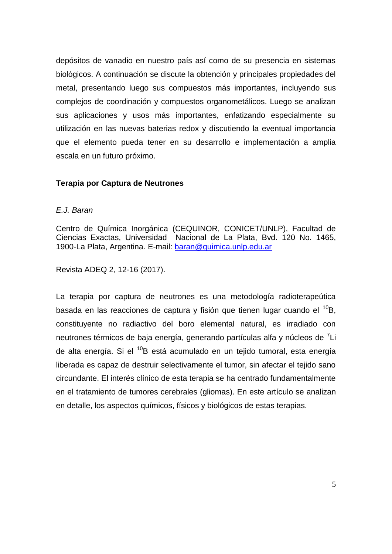depósitos de vanadio en nuestro país así como de su presencia en sistemas biológicos. A continuación se discute la obtención y principales propiedades del metal, presentando luego sus compuestos más importantes, incluyendo sus complejos de coordinación y compuestos organometálicos. Luego se analizan sus aplicaciones y usos más importantes, enfatizando especialmente su utilización en las nuevas baterias redox y discutiendo la eventual importancia que el elemento pueda tener en su desarrollo e implementación a amplia escala en un futuro próximo.

#### **Terapia por Captura de Neutrones**

#### *E.J. Baran*

Centro de Química Inorgánica (CEQUINOR, CONICET/UNLP), Facultad de Ciencias Exactas, Universidad Nacional de La Plata, Bvd. 120 No. 1465, 1900-La Plata, Argentina. E-mail: baran@quimica.unlp.edu.ar

Revista ADEQ 2, 12-16 (2017).

La terapia por captura de neutrones es una metodología radioterapeútica basada en las reacciones de captura y fisión que tienen lugar cuando el <sup>10</sup>B, constituyente no radiactivo del boro elemental natural, es irradiado con neutrones térmicos de baja energía, generando partículas alfa y núcleos de <sup>7</sup>Li de alta energía. Si el <sup>10</sup>B está acumulado en un tejido tumoral, esta energía liberada es capaz de destruir selectivamente el tumor, sin afectar el tejido sano circundante. El interés clínico de esta terapia se ha centrado fundamentalmente en el tratamiento de tumores cerebrales (gliomas). En este artículo se analizan en detalle, los aspectos químicos, físicos y biológicos de estas terapias.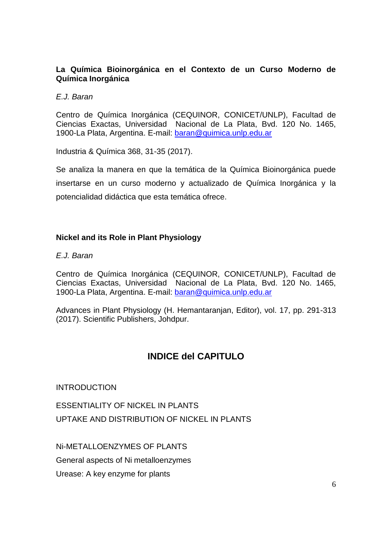#### **La Química Bioinorgánica en el Contexto de un Curso Moderno de Química Inorgánica**

#### *E.J. Baran*

Centro de Química Inorgánica (CEQUINOR, CONICET/UNLP), Facultad de Ciencias Exactas, Universidad Nacional de La Plata, Bvd. 120 No. 1465, 1900-La Plata, Argentina. E-mail: [baran@quimica.unlp.edu.ar](mailto:baran@quimica.unlp.edu.ar) 

Industria & Química 368, 31-35 (2017).

Se analiza la manera en que la temática de la Química Bioinorgánica puede insertarse en un curso moderno y actualizado de Química Inorgánica y la potencialidad didáctica que esta temática ofrece.

#### **Nickel and its Role in Plant Physiology**

*E.J. Baran*

Centro de Química Inorgánica (CEQUINOR, CONICET/UNLP), Facultad de Ciencias Exactas, Universidad Nacional de La Plata, Bvd. 120 No. 1465, 1900-La Plata, Argentina. E-mail: [baran@quimica.unlp.edu.ar](mailto:baran@quimica.unlp.edu.ar) 

Advances in Plant Physiology (H. Hemantaranjan, Editor), vol. 17, pp. 291-313 (2017). Scientific Publishers, Johdpur.

# **INDICE del CAPITULO**

**INTRODUCTION** 

ESSENTIALITY OF NICKEL IN PLANTS UPTAKE AND DISTRIBUTION OF NICKEL IN PLANTS

Ni-METALLOENZYMES OF PLANTS

General aspects of Ni metalloenzymes

Urease: A key enzyme for plants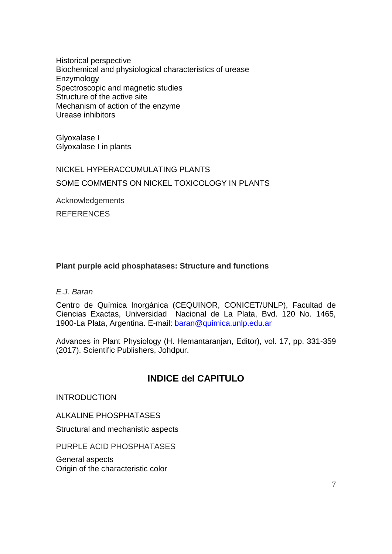Historical perspective Biochemical and physiological characteristics of urease Enzymology Spectroscopic and magnetic studies Structure of the active site Mechanism of action of the enzyme Urease inhibitors

Glyoxalase I Glyoxalase I in plants

# NICKEL HYPERACCUMULATING PLANTS SOME COMMENTS ON NICKEL TOXICOLOGY IN PLANTS

Acknowledgements

**REFERENCES** 

## **Plant purple acid phosphatases: Structure and functions**

#### *E.J. Baran*

Centro de Química Inorgánica (CEQUINOR, CONICET/UNLP), Facultad de Ciencias Exactas, Universidad Nacional de La Plata, Bvd. 120 No. 1465, 1900-La Plata, Argentina. E-mail: baran@quimica.unlp.edu.ar

Advances in Plant Physiology (H. Hemantaranjan, Editor), vol. 17, pp. 331-359 (2017). Scientific Publishers, Johdpur.

# **INDICE del CAPITULO**

**INTRODUCTION** 

ALKALINE PHOSPHATASES

Structural and mechanistic aspects

PURPLE ACID PHOSPHATASES

General aspects Origin of the characteristic color